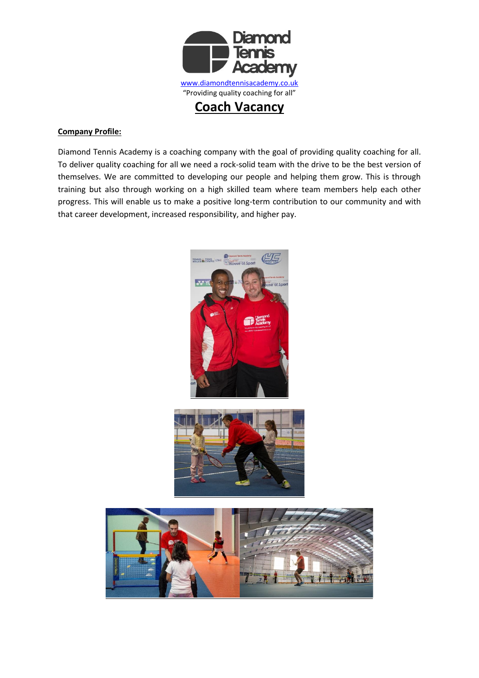

## **Company Profile:**

Diamond Tennis Academy is a coaching company with the goal of providing quality coaching for all. To deliver quality coaching for all we need a rock-solid team with the drive to be the best version of themselves. We are committed to developing our people and helping them grow. This is through training but also through working on a high skilled team where team members help each other progress. This will enable us to make a positive long-term contribution to our community and with that career development, increased responsibility, and higher pay.





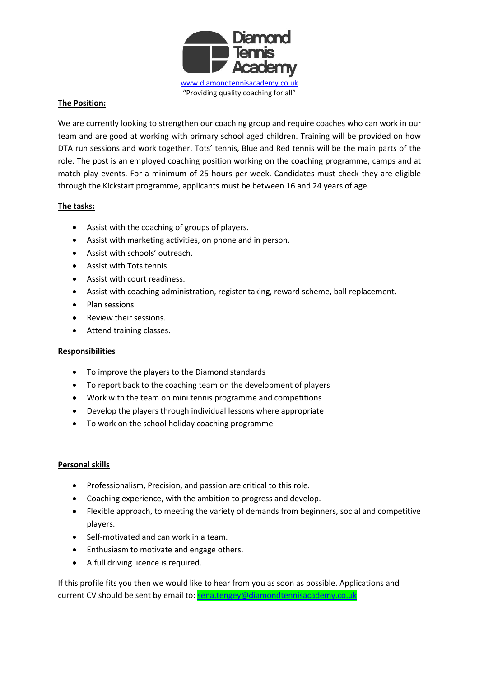

# **The Position:**

We are currently looking to strengthen our coaching group and require coaches who can work in our team and are good at working with primary school aged children. Training will be provided on how DTA run sessions and work together. Tots' tennis, Blue and Red tennis will be the main parts of the role. The post is an employed coaching position working on the coaching programme, camps and at match-play events. For a minimum of 25 hours per week. Candidates must check they are eligible through the Kickstart programme, applicants must be between 16 and 24 years of age.

## **The tasks:**

- Assist with the coaching of groups of players.
- Assist with marketing activities, on phone and in person.
- Assist with schools' outreach.
- Assist with Tots tennis
- Assist with court readiness.
- Assist with coaching administration, register taking, reward scheme, ball replacement.
- Plan sessions
- Review their sessions.
- Attend training classes.

## **Responsibilities**

- To improve the players to the Diamond standards
- To report back to the coaching team on the development of players
- Work with the team on mini tennis programme and competitions
- Develop the players through individual lessons where appropriate
- To work on the school holiday coaching programme

## **Personal skills**

- Professionalism, Precision, and passion are critical to this role.
- Coaching experience, with the ambition to progress and develop.
- Flexible approach, to meeting the variety of demands from beginners, social and competitive players.
- Self-motivated and can work in a team.
- Enthusiasm to motivate and engage others.
- A full driving licence is required.

If this profile fits you then we would like to hear from you as soon as possible. Applications and current CV should be sent by email to: [sena.tengey@diamondtennisacademy.co.uk](mailto:sena.tengey@diamondtennisacademy.co.uk)